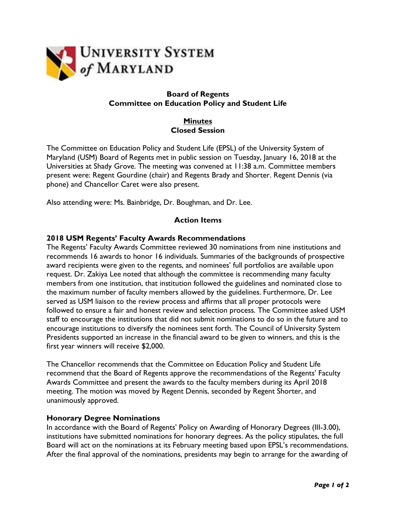

# **Board of Regents Committee on Education Policy and Student Life**

# **Minutes Closed Session**

The Committee on Education Policy and Student Life (EPSL) of the University System of Maryland (USM) Board of Regents met in public session on Tuesday, January 16, 2018 at the Universities at Shady Grove. The meeting was convened at 11:38 a.m. Committee members present were: Regent Gourdine (chair) and Regents Brady and Shorter. Regent Dennis (via phone) and Chancellor Caret were also present.

Also attending were: Ms. Bainbridge, Dr. Boughman, and Dr. Lee.

## **Action Items**

### **2018 USM Regents' Faculty Awards Recommendations**

The Regents' Faculty Awards Committee reviewed 30 nominations from nine institutions and recommends 16 awards to honor 16 individuals. Summaries of the backgrounds of prospective award recipients were given to the regents, and nominees' full portfolios are available upon request. Dr. Zakiya Lee noted that although the committee is recommending many faculty members from one institution, that institution followed the guidelines and nominated close to the maximum number of faculty members allowed by the guidelines. Furthermore, Dr. Lee served as USM liaison to the review process and affirms that all proper protocols were followed to ensure a fair and honest review and selection process. The Committee asked USM staff to encourage the institutions that did not submit nominations to do so in the future and to encourage institutions to diversify the nominees sent forth. The Council of University System Presidents supported an increase in the financial award to be given to winners, and this is the first year winners will receive \$2,000.

The Chancellor recommends that the Committee on Education Policy and Student Life recommend that the Board of Regents approve the recommendations of the Regents' Faculty Awards Committee and present the awards to the faculty members during its April 2018 meeting. The motion was moved by Regent Dennis, seconded by Regent Shorter, and unanimously approved.

#### **Honorary Degree Nominations**

In accordance with the Board of Regents' Policy on Awarding of Honorary Degrees (III-3.00), institutions have submitted nominations for honorary degrees. As the policy stipulates, the full Board will act on the nominations at its February meeting based upon EPSL's recommendations. After the final approval of the nominations, presidents may begin to arrange for the awarding of